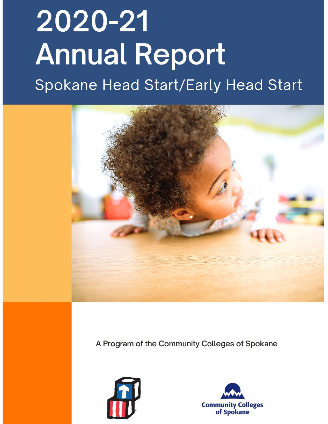# 2020-21 **Annual Report** Spokane Head Start/Early Head Start



A Program of the Community Colleges of Spokane



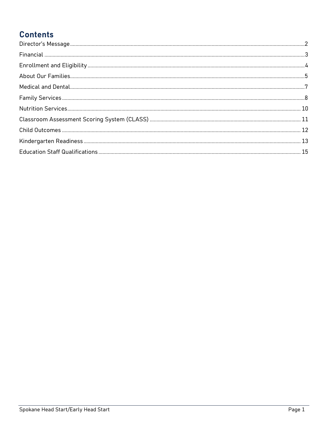# **Contents**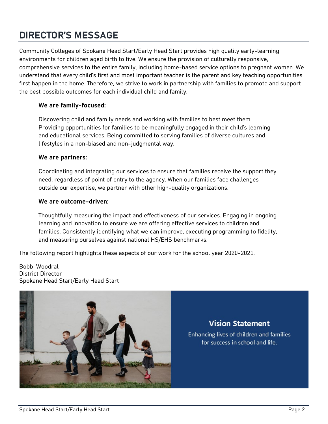# <span id="page-2-0"></span>**DIRECTOR'S MESSAGE**

Community Colleges of Spokane Head Start/Early Head Start provides high quality early-learning environments for children aged birth to five. We ensure the provision of culturally responsive, comprehensive services to the entire family, including home-based service options to pregnant women. We understand that every child's first and most important teacher is the parent and key teaching opportunities first happen in the home. Therefore, we strive to work in partnership with families to promote and support the best possible outcomes for each individual child and family.

#### **We are family-focused:**

Discovering child and family needs and working with families to best meet them. Providing opportunities for families to be meaningfully engaged in their child's learning and educational services. Being committed to serving families of diverse cultures and lifestyles in a non-biased and non-judgmental way.

#### **We are partners:**

Coordinating and integrating our services to ensure that families receive the support they need, regardless of point of entry to the agency. When our families face challenges outside our expertise, we partner with other high-quality organizations.

#### **We are outcome-driven:**

Thoughtfully measuring the impact and effectiveness of our services. Engaging in ongoing learning and innovation to ensure we are offering effective services to children and families. Consistently identifying what we can improve, executing programming to fidelity, and measuring ourselves against national HS/EHS benchmarks.

The following report highlights these aspects of our work for the school year 2020-2021.

Bobbi Woodral District Director Spokane Head Start/Early Head Start



**Vision Statement** 

Enhancing lives of children and families for success in school and life.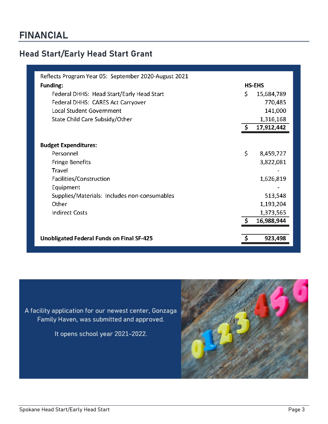# <span id="page-3-0"></span>**Head Start/Early Head Start Grant**

| Reflects Program Year 05: September 2020-August 2021 |              |               |  |
|------------------------------------------------------|--------------|---------------|--|
| <b>Funding:</b>                                      |              | <b>HS-EHS</b> |  |
| Federal DHHS: Head Start/Early Head Start            | Ś.           | 15,684,789    |  |
| Federal DHHS: CARES Act Carryover                    |              | 770,485       |  |
| Local Student Government                             |              | 141,000       |  |
| State Child Care Subsidy/Other                       |              | 1,316,168     |  |
|                                                      | S.           | 17,912,442    |  |
|                                                      |              |               |  |
| <b>Budget Expenditures:</b>                          |              |               |  |
| Personnel                                            | $\mathsf{S}$ | 8,459,727     |  |
| <b>Fringe Benefits</b>                               |              | 3,822,081     |  |
| Travel                                               |              |               |  |
| Facilities/Construction                              |              | 1,626,819     |  |
| Equipment                                            |              |               |  |
| Supplies/Materials: Includes non-consumables         |              | 513,548       |  |
| Other                                                |              | 1,193,204     |  |
| <b>Indirect Costs</b>                                |              | 1,373,565     |  |
|                                                      |              | 16,988,944    |  |
|                                                      |              |               |  |
| <b>Unobligated Federal Funds on Final SF-425</b>     | S            | 923,498       |  |

A facility application for our newest center, Gonzaga Family Haven, was submitted and approved.

It opens school year 2021-2022.

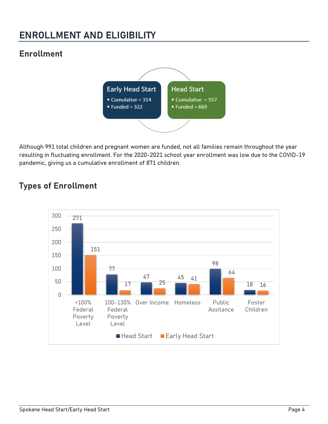# <span id="page-4-0"></span>**ENROLLMENT AND ELIGIBILITY**

# **Enrollment**



Although 991 total children and pregnant women are funded, not all families remain throughout the year resulting in fluctuating enrollment. For the 2020-2021 school year enrollment was low due to the COVID-19 pandemic, giving us a cumulative enrollment of 871 children.

## **Types of Enrollment**

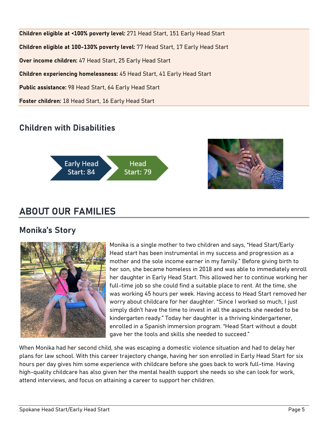**Children eligible at <100% poverty level:** 271 Head Start, 151 Early Head Start **Children eligible at 100-130% poverty level:** 77 Head Start, 17 Early Head Start **Over income children:** 47 Head Start, 25 Early Head Start **Children experiencing homelessness:** 45 Head Start, 41 Early Head Start **Public assistance:** 98 Head Start, 64 Early Head Start **Foster children:** 18 Head Start, 16 Early Head Start

## **Children with Disabilities**





# <span id="page-5-0"></span>**ABOUT OUR FAMILIES**

## **Monika's Story**



Monika is a single mother to two children and says, "Head Start/Early Head start has been instrumental in my success and progression as a mother and the sole income earner in my family." Before giving birth to her son, she became homeless in 2018 and was able to immediately enroll her daughter in Early Head Start. This allowed her to continue working her full-time job so she could find a suitable place to rent. At the time, she was working 45 hours per week. Having access to Head Start removed her worry about childcare for her daughter. "Since I worked so much, I just simply didn't have the time to invest in all the aspects she needed to be kindergarten ready." Today her daughter is a thriving kindergartener, enrolled in a Spanish immersion program. "Head Start without a doubt gave her the tools and skills she needed to succeed."

When Monika had her second child, she was escaping a domestic violence situation and had to delay her plans for law school. With this career trajectory change, having her son enrolled in Early Head Start for six hours per day gives him some experience with childcare before she goes back to work full-time. Having high-quality childcare has also given her the mental health support she needs so she can look for work, attend interviews, and focus on attaining a career to support her children.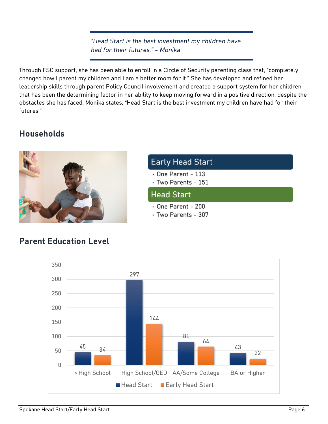*"Head Start is the best investment my children have had for their futures." - Monika*

Through FSC support, she has been able to enroll in a Circle of Security parenting class that, "completely changed how I parent my children and I am a better mom for it." She has developed and refined her leadership skills through parent Policy Council involvement and created a support system for her children that has been the determining factor in her ability to keep moving forward in a positive direction, despite the obstacles she has faced. Monika states, "Head Start is the best investment my children have had for their futures."

## **Households**



## **Early Head Start**

- $\cdot$  One Parent 113
- Two Parents 151

#### **Head Start**

- $\cdot$  One Parent 200
- Two Parents 307



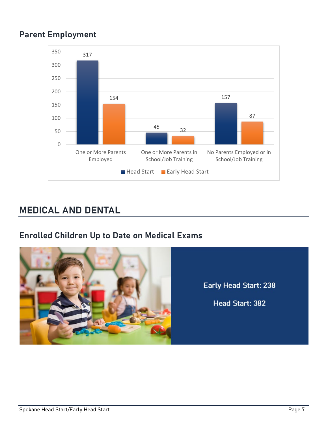# **Parent Employment**



# <span id="page-7-0"></span>**MEDICAL AND DENTAL**

## **Enrolled Children Up to Date on Medical Exams**



Early Head Start: 238

Head Start: 382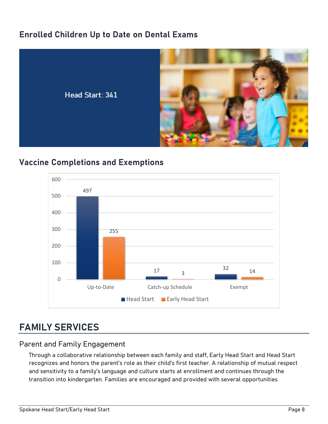## **Enrolled Children Up to Date on Dental Exams**



## **Vaccine Completions and Exemptions**



# <span id="page-8-0"></span>**FAMILY SERVICES**

#### Parent and Family Engagement

Through a collaborative relationship between each family and staff, Early Head Start and Head Start recognizes and honors the parent's role as their child's first teacher. A relationship of mutual respect and sensitivity to a family's language and culture starts at enrollment and continues through the transition into kindergarten. Families are encouraged and provided with several opportunities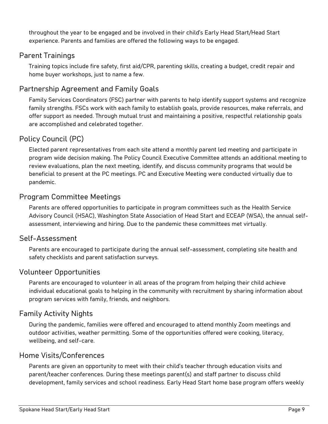throughout the year to be engaged and be involved in their child's Early Head Start/Head Start experience. Parents and families are offered the following ways to be engaged.

#### Parent Trainings

Training topics include fire safety, first aid/CPR, parenting skills, creating a budget, credit repair and home buyer workshops, just to name a few.

#### Partnership Agreement and Family Goals

Family Services Coordinators (FSC) partner with parents to help identify support systems and recognize family strengths. FSCs work with each family to establish goals, provide resources, make referrals, and offer support as needed. Through mutual trust and maintaining a positive, respectful relationship goals are accomplished and celebrated together.

#### Policy Council (PC)

Elected parent representatives from each site attend a monthly parent led meeting and participate in program wide decision making. The Policy Council Executive Committee attends an additional meeting to review evaluations, plan the next meeting, identify, and discuss community programs that would be beneficial to present at the PC meetings. PC and Executive Meeting were conducted virtually due to pandemic.

#### Program Committee Meetings

Parents are offered opportunities to participate in program committees such as the Health Service Advisory Council (HSAC), Washington State Association of Head Start and ECEAP (WSA), the annual selfassessment, interviewing and hiring. Due to the pandemic these committees met virtually.

#### Self-Assessment

Parents are encouraged to participate during the annual self-assessment, completing site health and safety checklists and parent satisfaction surveys.

#### Volunteer Opportunities

Parents are encouraged to volunteer in all areas of the program from helping their child achieve individual educational goals to helping in the community with recruitment by sharing information about program services with family, friends, and neighbors.

#### Family Activity Nights

During the pandemic, families were offered and encouraged to attend monthly Zoom meetings and outdoor activities, weather permitting. Some of the opportunities offered were cooking, literacy, wellbeing, and self-care.

#### Home Visits/Conferences

Parents are given an opportunity to meet with their child's teacher through education visits and parent/teacher conferences. During these meetings parent(s) and staff partner to discuss child development, family services and school readiness. Early Head Start home base program offers weekly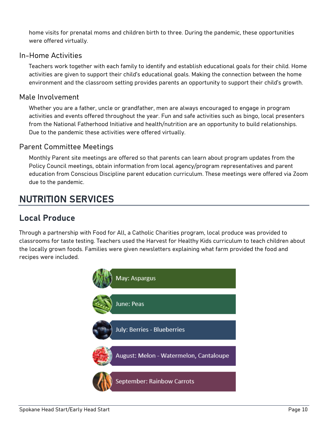home visits for prenatal moms and children birth to three. During the pandemic, these opportunities were offered virtually.

#### In-Home Activities

Teachers work together with each family to identify and establish educational goals for their child. Home activities are given to support their child's educational goals. Making the connection between the home environment and the classroom setting provides parents an opportunity to support their child's growth.

#### Male Involvement

Whether you are a father, uncle or grandfather, men are always encouraged to engage in program activities and events offered throughout the year. Fun and safe activities such as bingo, local presenters from the National Fatherhood Initiative and health/nutrition are an opportunity to build relationships. Due to the pandemic these activities were offered virtually.

#### Parent Committee Meetings

Monthly Parent site meetings are offered so that parents can learn about program updates from the Policy Council meetings, obtain information from local agency/program representatives and parent education from Conscious Discipline parent education curriculum. These meetings were offered via Zoom due to the pandemic.

# <span id="page-10-0"></span>**NUTRITION SERVICES**

## **Local Produce**

Through a partnership with Food for All, a Catholic Charities program, local produce was provided to classrooms for taste testing. Teachers used the Harvest for Healthy Kids curriculum to teach children about the locally grown foods. Families were given newsletters explaining what farm provided the food and recipes were included.

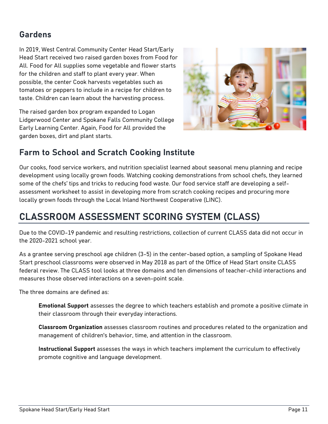## **Gardens**

In 2019, West Central Community Center Head Start/Early Head Start received two raised garden boxes from Food for All. Food for All supplies some vegetable and flower starts for the children and staff to plant every year. When possible, the center Cook harvests vegetables such as tomatoes or peppers to include in a recipe for children to taste. Children can learn about the harvesting process.

The raised garden box program expanded to Logan Lidgerwood Center and Spokane Falls Community College Early Learning Center. Again, Food for All provided the garden boxes, dirt and plant starts.



# **Farm to School and Scratch Cooking Institute**

Our cooks, food service workers, and nutrition specialist learned about seasonal menu planning and recipe development using locally grown foods. Watching cooking demonstrations from school chefs, they learned some of the chefs' tips and tricks to reducing food waste. Our food service staff are developing a selfassessment worksheet to assist in developing more from scratch cooking recipes and procuring more locally grown foods through the Local Inland Northwest Cooperative (LINC).

# <span id="page-11-0"></span>**CLASSROOM ASSESSMENT SCORING SYSTEM (CLASS)**

Due to the COVID-19 pandemic and resulting restrictions, collection of current CLASS data did not occur in the 2020-2021 school year.

As a grantee serving preschool age children (3-5) in the center-based option, a sampling of Spokane Head Start preschool classrooms were observed in May 2018 as part of the Office of Head Start onsite CLASS federal review. The CLASS tool looks at three domains and ten dimensions of teacher-child interactions and measures those observed interactions on a seven-point scale.

The three domains are defined as:

**Emotional Support** assesses the degree to which teachers establish and promote a positive climate in their classroom through their everyday interactions.

**Classroom Organization** assesses classroom routines and procedures related to the organization and management of children's behavior, time, and attention in the classroom.

**Instructional Support** assesses the ways in which teachers implement the curriculum to effectively promote cognitive and language development.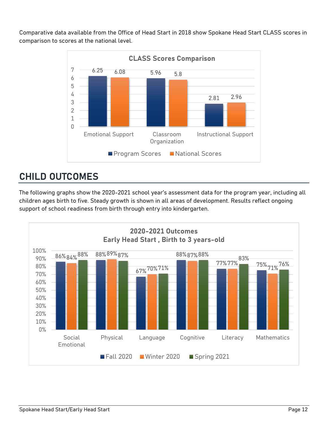Comparative data available from the Office of Head Start in 2018 show Spokane Head Start CLASS scores in comparison to scores at the national level.



# <span id="page-12-0"></span>**CHILD OUTCOMES**

The following graphs show the 2020-2021 school year's assessment data for the program year, including all children ages birth to five. Steady growth is shown in all areas of development. Results reflect ongoing support of school readiness from birth through entry into kindergarten.

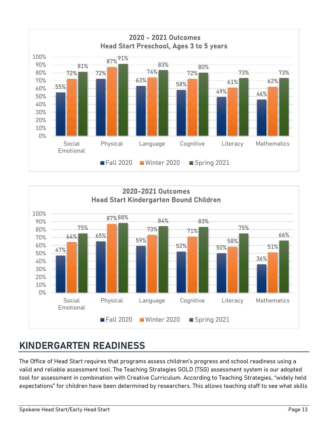



# <span id="page-13-0"></span>**KINDERGARTEN READINESS**

The Office of Head Start requires that programs assess children's progress and school readiness using a valid and reliable assessment tool. The Teaching Strategies GOLD (TSG) assessment system is our adopted tool for assessment in combination with Creative Curriculum. According to Teaching Strategies, "widely held expectations" for children have been determined by researchers. This allows teaching staff to see what skills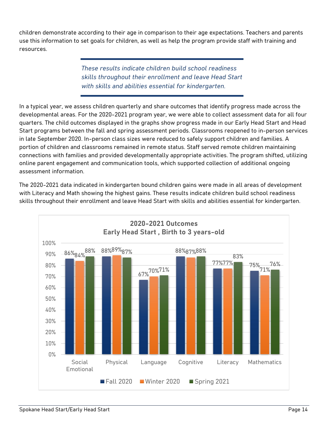children demonstrate according to their age in comparison to their age expectations. Teachers and parents use this information to set goals for children, as well as help the program provide staff with training and resources.

> *These results indicate children build school readiness skills throughout their enrollment and leave Head Start with skills and abilities essential for kindergarten.*

In a typical year, we assess children quarterly and share outcomes that identify progress made across the developmental areas. For the 2020-2021 program year, we were able to collect assessment data for all four quarters. The child outcomes displayed in the graphs show progress made in our Early Head Start and Head Start programs between the fall and spring assessment periods. Classrooms reopened to in-person services in late September 2020. In-person class sizes were reduced to safely support children and families. A portion of children and classrooms remained in remote status. Staff served remote children maintaining connections with families and provided developmentally appropriate activities. The program shifted, utilizing online parent engagement and communication tools, which supported collection of additional ongoing assessment information.

The 2020-2021 data indicated in kindergarten bound children gains were made in all areas of development with Literacy and Math showing the highest gains. These results indicate children build school readiness skills throughout their enrollment and leave Head Start with skills and abilities essential for kindergarten.